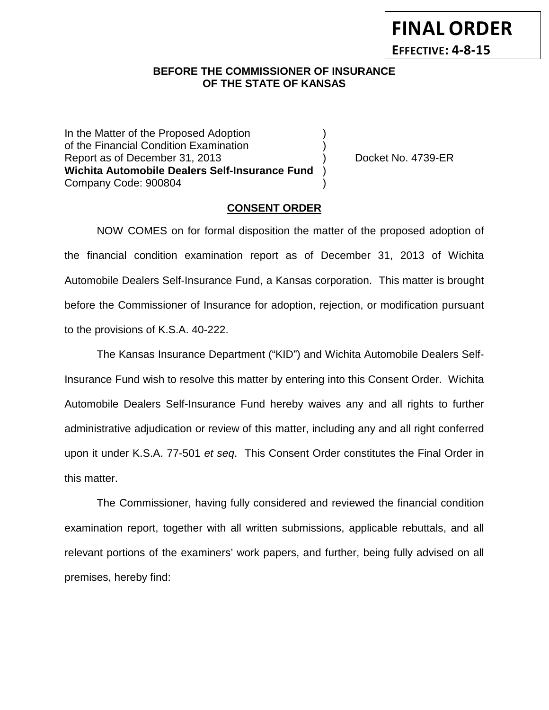**FINAL ORDER EFFECTIVE: 4-8-15**

### **BEFORE THE COMMISSIONER OF INSURANCE OF THE STATE OF KANSAS**

In the Matter of the Proposed Adoption of the Financial Condition Examination ) Report as of December 31, 2013 (and Separation Cooket No. 4739-ER **Wichita Automobile Dealers Self-Insurance Fund** ) Company Code: 900804 )

#### **CONSENT ORDER**

NOW COMES on for formal disposition the matter of the proposed adoption of the financial condition examination report as of December 31, 2013 of Wichita Automobile Dealers Self-Insurance Fund, a Kansas corporation. This matter is brought before the Commissioner of Insurance for adoption, rejection, or modification pursuant to the provisions of K.S.A. 40-222.

The Kansas Insurance Department ("KID") and Wichita Automobile Dealers Self-Insurance Fund wish to resolve this matter by entering into this Consent Order. Wichita Automobile Dealers Self-Insurance Fund hereby waives any and all rights to further administrative adjudication or review of this matter, including any and all right conferred upon it under K.S.A. 77-501 *et seq*. This Consent Order constitutes the Final Order in this matter.

The Commissioner, having fully considered and reviewed the financial condition examination report, together with all written submissions, applicable rebuttals, and all relevant portions of the examiners' work papers, and further, being fully advised on all premises, hereby find: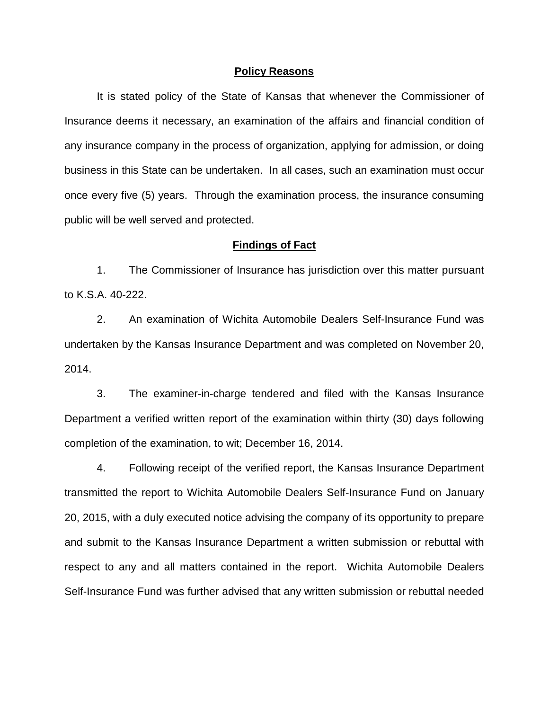#### **Policy Reasons**

It is stated policy of the State of Kansas that whenever the Commissioner of Insurance deems it necessary, an examination of the affairs and financial condition of any insurance company in the process of organization, applying for admission, or doing business in this State can be undertaken. In all cases, such an examination must occur once every five (5) years. Through the examination process, the insurance consuming public will be well served and protected.

#### **Findings of Fact**

1. The Commissioner of Insurance has jurisdiction over this matter pursuant to K.S.A. 40-222.

2. An examination of Wichita Automobile Dealers Self-Insurance Fund was undertaken by the Kansas Insurance Department and was completed on November 20, 2014.

3. The examiner-in-charge tendered and filed with the Kansas Insurance Department a verified written report of the examination within thirty (30) days following completion of the examination, to wit; December 16, 2014.

4. Following receipt of the verified report, the Kansas Insurance Department transmitted the report to Wichita Automobile Dealers Self-Insurance Fund on January 20, 2015, with a duly executed notice advising the company of its opportunity to prepare and submit to the Kansas Insurance Department a written submission or rebuttal with respect to any and all matters contained in the report. Wichita Automobile Dealers Self-Insurance Fund was further advised that any written submission or rebuttal needed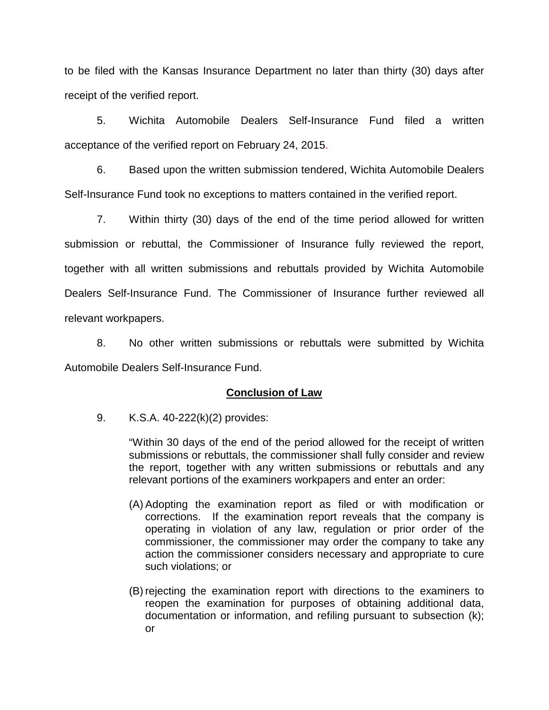to be filed with the Kansas Insurance Department no later than thirty (30) days after receipt of the verified report.

5. Wichita Automobile Dealers Self-Insurance Fund filed a written acceptance of the verified report on February 24, 2015.

6. Based upon the written submission tendered, Wichita Automobile Dealers Self-Insurance Fund took no exceptions to matters contained in the verified report.

7. Within thirty (30) days of the end of the time period allowed for written submission or rebuttal, the Commissioner of Insurance fully reviewed the report, together with all written submissions and rebuttals provided by Wichita Automobile Dealers Self-Insurance Fund. The Commissioner of Insurance further reviewed all relevant workpapers.

8. No other written submissions or rebuttals were submitted by Wichita Automobile Dealers Self-Insurance Fund.

## **Conclusion of Law**

9. K.S.A. 40-222(k)(2) provides:

"Within 30 days of the end of the period allowed for the receipt of written submissions or rebuttals, the commissioner shall fully consider and review the report, together with any written submissions or rebuttals and any relevant portions of the examiners workpapers and enter an order:

- (A) Adopting the examination report as filed or with modification or corrections. If the examination report reveals that the company is operating in violation of any law, regulation or prior order of the commissioner, the commissioner may order the company to take any action the commissioner considers necessary and appropriate to cure such violations; or
- (B) rejecting the examination report with directions to the examiners to reopen the examination for purposes of obtaining additional data, documentation or information, and refiling pursuant to subsection (k); or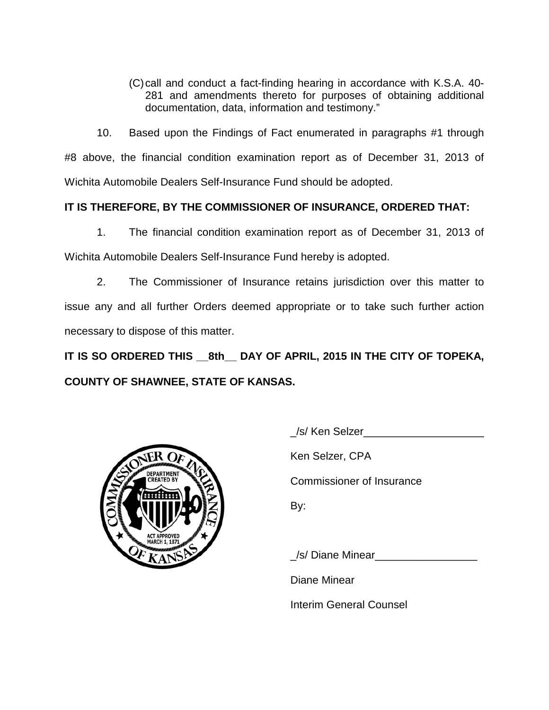(C)call and conduct a fact-finding hearing in accordance with K.S.A. 40- 281 and amendments thereto for purposes of obtaining additional documentation, data, information and testimony."

10. Based upon the Findings of Fact enumerated in paragraphs #1 through #8 above, the financial condition examination report as of December 31, 2013 of Wichita Automobile Dealers Self-Insurance Fund should be adopted.

# **IT IS THEREFORE, BY THE COMMISSIONER OF INSURANCE, ORDERED THAT:**

1. The financial condition examination report as of December 31, 2013 of Wichita Automobile Dealers Self-Insurance Fund hereby is adopted.

2. The Commissioner of Insurance retains jurisdiction over this matter to issue any and all further Orders deemed appropriate or to take such further action necessary to dispose of this matter.

**IT IS SO ORDERED THIS \_\_8th\_\_ DAY OF APRIL, 2015 IN THE CITY OF TOPEKA, COUNTY OF SHAWNEE, STATE OF KANSAS.**



/s/ Ken Selzer

Ken Selzer, CPA

Commissioner of Insurance

By:

/s/ Diane Minear

Diane Minear

Interim General Counsel